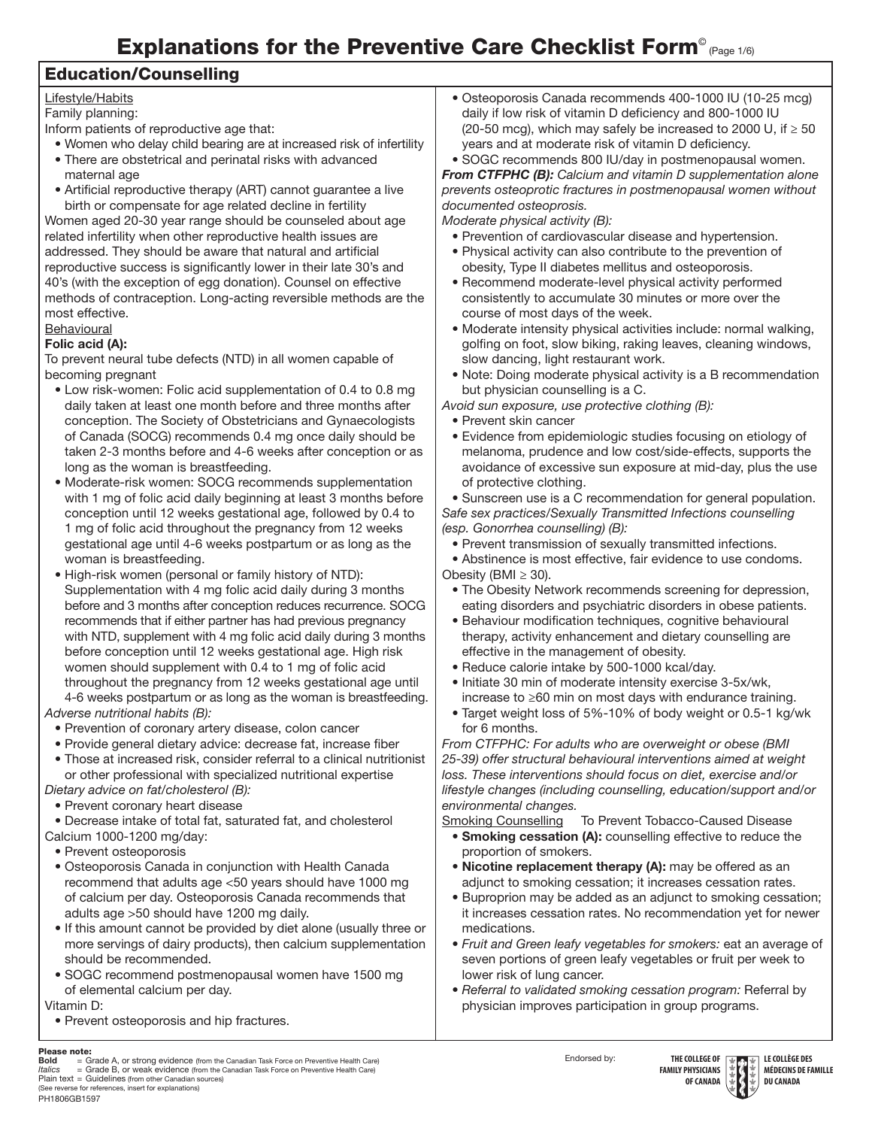# Explanations for the Preventive Care Checklist Form<sup>®</sup> (Page 1/6)

#### Education/Counselling

#### Lifestyle/Habits

Family planning:

Inform patients of reproductive age that:

- Women who delay child bearing are at increased risk of infertility
- There are obstetrical and perinatal risks with advanced maternal age
- Artificial reproductive therapy (ART) cannot guarantee a live birth or compensate for age related decline in fertility

Women aged 20-30 year range should be counseled about age related infertility when other reproductive health issues are addressed. They should be aware that natural and artificial reproductive success is significantly lower in their late 30's and 40's (with the exception of egg donation). Counsel on effective methods of contraception. Long-acting reversible methods are the most effective.

#### **Behavioural** Folic acid (A):

To prevent neural tube defects (NTD) in all women capable of becoming pregnant

- Low risk-women: Folic acid supplementation of 0.4 to 0.8 mg daily taken at least one month before and three months after conception. The Society of Obstetricians and Gynaecologists of Canada (SOCG) recommends 0.4 mg once daily should be taken 2-3 months before and 4-6 weeks after conception or as long as the woman is breastfeeding.
- Moderate-risk women: SOCG recommends supplementation with 1 mg of folic acid daily beginning at least 3 months before conception until 12 weeks gestational age, followed by 0.4 to 1 mg of folic acid throughout the pregnancy from 12 weeks gestational age until 4-6 weeks postpartum or as long as the woman is breastfeeding.
- High-risk women (personal or family history of NTD): Supplementation with 4 mg folic acid daily during 3 months before and 3 months after conception reduces recurrence. SOCG recommends that if either partner has had previous pregnancy with NTD, supplement with 4 mg folic acid daily during 3 months before conception until 12 weeks gestational age. High risk women should supplement with 0.4 to 1 mg of folic acid throughout the pregnancy from 12 weeks gestational age until 4-6 weeks postpartum or as long as the woman is breastfeeding.
- *Adverse nutritional habits (B):*  • Prevention of coronary artery disease, colon cancer
	- Provide general dietary advice: decrease fat, increase fiber
	- Those at increased risk, consider referral to a clinical nutritionist or other professional with specialized nutritional expertise

*Dietary advice on fat/cholesterol (B):* 

• Prevent coronary heart disease

• Decrease intake of total fat, saturated fat, and cholesterol Calcium 1000-1200 mg/day:

- Prevent osteoporosis
- Osteoporosis Canada in conjunction with Health Canada recommend that adults age <50 years should have 1000 mg of calcium per day. Osteoporosis Canada recommends that adults age >50 should have 1200 mg daily.
- If this amount cannot be provided by diet alone (usually three or more servings of dairy products), then calcium supplementation should be recommended.
- SOGC recommend postmenopausal women have 1500 mg of elemental calcium per day.

Vitamin D:

- Prevent osteoporosis and hip fractures.
- 

Please note:<br>Bold = Grade A, or strong evidence (from the Canadian Task Force on Preventive Health Care)<br>/falics = Grade B, or weak evidence (from the Canadian Task Force on Preventive Health Care) PH1806GB1597 Plain text = Guidelines (from other Canadian sources) (See reverse for references, insert for explanations)

• Osteoporosis Canada recommends 400-1000 IU (10-25 mcg) daily if low risk of vitamin D deficiency and 800-1000 IU (20-50 mcg), which may safely be increased to 2000 U, if  $\geq$  50 years and at moderate risk of vitamin D deficiency.

• SOGC recommends 800 IU/day in postmenopausal women. *From CTFPHC (B): Calcium and vitamin D supplementation alone prevents osteoprotic fractures in postmenopausal women without documented osteoprosis.*

*Moderate physical activity (B):* 

- Prevention of cardiovascular disease and hypertension.
- Physical activity can also contribute to the prevention of obesity, Type II diabetes mellitus and osteoporosis.
- Recommend moderate-level physical activity performed consistently to accumulate 30 minutes or more over the course of most days of the week.
- Moderate intensity physical activities include: normal walking, golfing on foot, slow biking, raking leaves, cleaning windows, slow dancing, light restaurant work.
- Note: Doing moderate physical activity is a B recommendation but physician counselling is a C.

*Avoid sun exposure, use protective clothing (B):* 

- Prevent skin cancer
- Evidence from epidemiologic studies focusing on etiology of melanoma, prudence and low cost/side-effects, supports the avoidance of excessive sun exposure at mid-day, plus the use of protective clothing.

• Sunscreen use is a C recommendation for general population. *Safe sex practices/Sexually Transmitted Infections counselling (esp. Gonorrhea counselling) (B):*

• Prevent transmission of sexually transmitted infections.

• Abstinence is most effective, fair evidence to use condoms. Obesity (BMI  $\geq$  30).

- The Obesity Network recommends screening for depression, eating disorders and psychiatric disorders in obese patients.
- Behaviour modification techniques, cognitive behavioural therapy, activity enhancement and dietary counselling are effective in the management of obesity.
- Reduce calorie intake by 500-1000 kcal/day.
- Initiate 30 min of moderate intensity exercise 3-5x/wk, increase to ≥60 min on most days with endurance training.
- Target weight loss of 5%-10% of body weight or 0.5-1 kg/wk for 6 months.

*From CTFPHC: For adults who are overweight or obese (BMI 25-39) offer structural behavioural interventions aimed at weight loss. These interventions should focus on diet, exercise and/or lifestyle changes (including counselling, education/support and/or environmental changes.*

Smoking Counselling To Prevent Tobacco-Caused Disease

- Smoking cessation (A): counselling effective to reduce the proportion of smokers.
- Nicotine replacement therapy (A): may be offered as an adjunct to smoking cessation; it increases cessation rates.
- Buproprion may be added as an adjunct to smoking cessation; it increases cessation rates. No recommendation yet for newer medications.
- *Fruit and Green leafy vegetables for smokers:* eat an average of seven portions of green leafy vegetables or fruit per week to lower risk of lung cancer.
- *Referral to validated smoking cessation program:* Referral by physician improves participation in group programs.

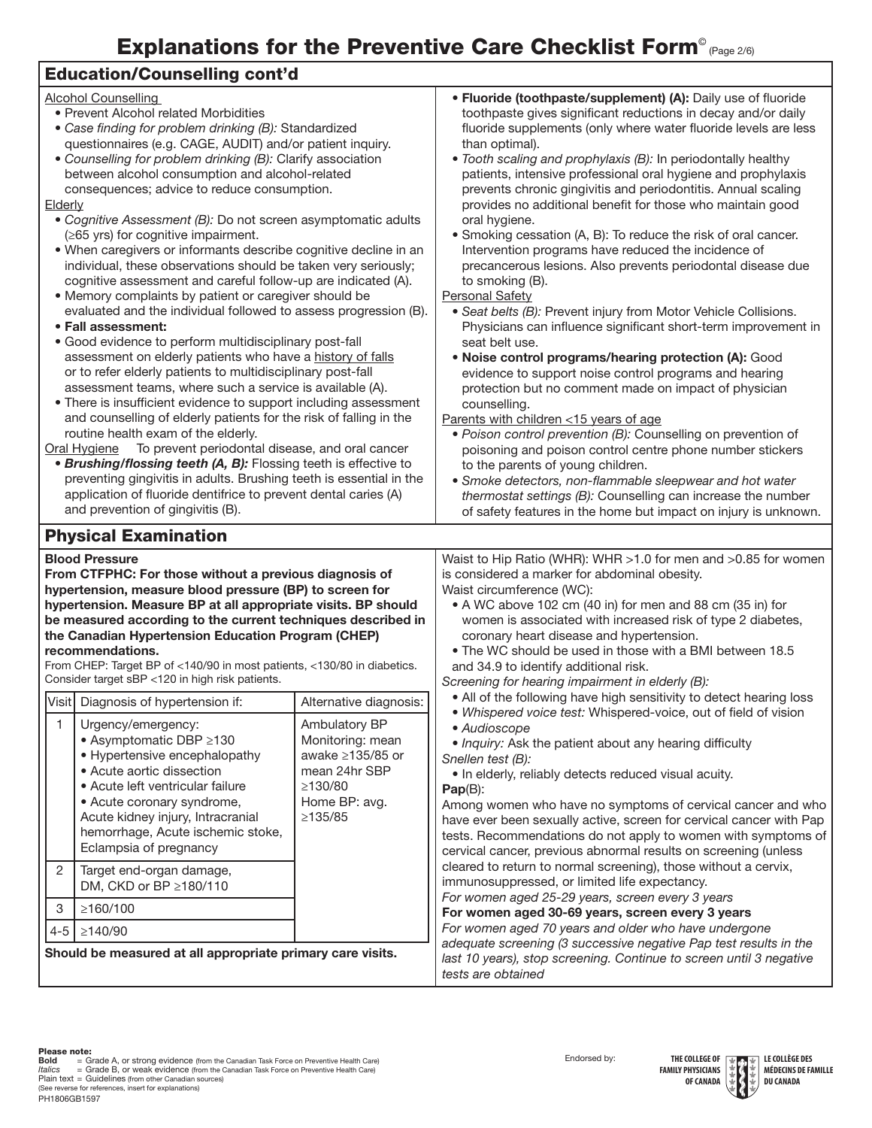## Explanations for the Preventive Care Checklist Form<sup>®</sup> (Page 2/6)

### Education/Counselling cont'd

| <b>Alcohol Counselling</b><br>• Prevent Alcohol related Morbidities<br>• Case finding for problem drinking (B): Standardized<br>questionnaires (e.g. CAGE, AUDIT) and/or patient inquiry.<br>• Counselling for problem drinking (B): Clarify association<br>between alcohol consumption and alcohol-related<br>consequences; advice to reduce consumption.<br>Elderly<br>• Cognitive Assessment (B): Do not screen asymptomatic adults<br>$(\geq 65$ yrs) for cognitive impairment.<br>. When caregivers or informants describe cognitive decline in an<br>individual, these observations should be taken very seriously;<br>cognitive assessment and careful follow-up are indicated (A).<br>• Memory complaints by patient or caregiver should be<br>evaluated and the individual followed to assess progression (B).<br>• Fall assessment:<br>· Good evidence to perform multidisciplinary post-fall<br>assessment on elderly patients who have a history of falls<br>or to refer elderly patients to multidisciplinary post-fall<br>assessment teams, where such a service is available (A).<br>• There is insufficient evidence to support including assessment<br>and counselling of elderly patients for the risk of falling in the<br>routine health exam of the elderly.<br>To prevent periodontal disease, and oral cancer<br>Oral Hygiene<br>• Brushing/flossing teeth (A, B): Flossing teeth is effective to<br>preventing gingivitis in adults. Brushing teeth is essential in the<br>application of fluoride dentifrice to prevent dental caries (A)<br>and prevention of gingivitis (B). |                                                                                                                           | • Fluoride (toothpaste/supplement) (A): Daily use of fluoride<br>toothpaste gives significant reductions in decay and/or daily<br>fluoride supplements (only where water fluoride levels are less<br>than optimal).<br>• Tooth scaling and prophylaxis (B): In periodontally healthy<br>patients, intensive professional oral hygiene and prophylaxis<br>prevents chronic gingivitis and periodontitis. Annual scaling<br>provides no additional benefit for those who maintain good<br>oral hygiene.<br>• Smoking cessation (A, B): To reduce the risk of oral cancer.<br>Intervention programs have reduced the incidence of<br>precancerous lesions. Also prevents periodontal disease due<br>to smoking (B).<br>Personal Safety<br>• Seat belts (B): Prevent injury from Motor Vehicle Collisions.<br>Physicians can influence significant short-term improvement in<br>seat belt use.<br>. Noise control programs/hearing protection (A): Good<br>evidence to support noise control programs and hearing<br>protection but no comment made on impact of physician<br>counselling.<br>Parents with children <15 years of age<br>· Poison control prevention (B): Counselling on prevention of<br>poisoning and poison control centre phone number stickers<br>to the parents of young children.<br>• Smoke detectors, non-flammable sleepwear and hot water<br>thermostat settings (B): Counselling can increase the number<br>of safety features in the home but impact on injury is unknown. |  |
|---------------------------------------------------------------------------------------------------------------------------------------------------------------------------------------------------------------------------------------------------------------------------------------------------------------------------------------------------------------------------------------------------------------------------------------------------------------------------------------------------------------------------------------------------------------------------------------------------------------------------------------------------------------------------------------------------------------------------------------------------------------------------------------------------------------------------------------------------------------------------------------------------------------------------------------------------------------------------------------------------------------------------------------------------------------------------------------------------------------------------------------------------------------------------------------------------------------------------------------------------------------------------------------------------------------------------------------------------------------------------------------------------------------------------------------------------------------------------------------------------------------------------------------------------------------------------------------------------------|---------------------------------------------------------------------------------------------------------------------------|----------------------------------------------------------------------------------------------------------------------------------------------------------------------------------------------------------------------------------------------------------------------------------------------------------------------------------------------------------------------------------------------------------------------------------------------------------------------------------------------------------------------------------------------------------------------------------------------------------------------------------------------------------------------------------------------------------------------------------------------------------------------------------------------------------------------------------------------------------------------------------------------------------------------------------------------------------------------------------------------------------------------------------------------------------------------------------------------------------------------------------------------------------------------------------------------------------------------------------------------------------------------------------------------------------------------------------------------------------------------------------------------------------------------------------------------------------------------------------------------------|--|
| <b>Physical Examination</b>                                                                                                                                                                                                                                                                                                                                                                                                                                                                                                                                                                                                                                                                                                                                                                                                                                                                                                                                                                                                                                                                                                                                                                                                                                                                                                                                                                                                                                                                                                                                                                             |                                                                                                                           |                                                                                                                                                                                                                                                                                                                                                                                                                                                                                                                                                                                                                                                                                                                                                                                                                                                                                                                                                                                                                                                                                                                                                                                                                                                                                                                                                                                                                                                                                                    |  |
| <b>Blood Pressure</b><br>From CTFPHC: For those without a previous diagnosis of<br>hypertension, measure blood pressure (BP) to screen for<br>hypertension. Measure BP at all appropriate visits. BP should<br>be measured according to the current techniques described in<br>the Canadian Hypertension Education Program (CHEP)<br>recommendations.<br>From CHEP: Target BP of <140/90 in most patients, <130/80 in diabetics.<br>Consider target sBP <120 in high risk patients.                                                                                                                                                                                                                                                                                                                                                                                                                                                                                                                                                                                                                                                                                                                                                                                                                                                                                                                                                                                                                                                                                                                     |                                                                                                                           | Waist to Hip Ratio (WHR): WHR >1.0 for men and >0.85 for women<br>is considered a marker for abdominal obesity.<br>Waist circumference (WC):<br>• A WC above 102 cm (40 in) for men and 88 cm (35 in) for<br>women is associated with increased risk of type 2 diabetes,<br>coronary heart disease and hypertension.<br>. The WC should be used in those with a BMI between 18.5<br>and 34.9 to identify additional risk.<br>Screening for hearing impairment in elderly (B):                                                                                                                                                                                                                                                                                                                                                                                                                                                                                                                                                                                                                                                                                                                                                                                                                                                                                                                                                                                                                      |  |
| Visit   Diagnosis of hypertension if:                                                                                                                                                                                                                                                                                                                                                                                                                                                                                                                                                                                                                                                                                                                                                                                                                                                                                                                                                                                                                                                                                                                                                                                                                                                                                                                                                                                                                                                                                                                                                                   | Alternative diagnosis:                                                                                                    | . All of the following have high sensitivity to detect hearing loss                                                                                                                                                                                                                                                                                                                                                                                                                                                                                                                                                                                                                                                                                                                                                                                                                                                                                                                                                                                                                                                                                                                                                                                                                                                                                                                                                                                                                                |  |
| Urgency/emergency:<br>1<br>● Asymptomatic DBP ≥130<br>• Hypertensive encephalopathy<br>• Acute aortic dissection<br>• Acute left ventricular failure<br>• Acute coronary syndrome,<br>Acute kidney injury, Intracranial<br>hemorrhage, Acute ischemic stoke,<br>Eclampsia of pregnancy                                                                                                                                                                                                                                                                                                                                                                                                                                                                                                                                                                                                                                                                                                                                                                                                                                                                                                                                                                                                                                                                                                                                                                                                                                                                                                                  | Ambulatory BP<br>Monitoring: mean<br>awake $\geq$ 135/85 or<br>mean 24hr SBP<br>≥130/80<br>Home BP: avg.<br>$\geq$ 135/85 | . Whispered voice test: Whispered-voice, out of field of vision<br>· Audioscope<br>• Inquiry: Ask the patient about any hearing difficulty<br>Snellen test (B):<br>. In elderly, reliably detects reduced visual acuity.<br>$Pap(B)$ :<br>Among women who have no symptoms of cervical cancer and who<br>have ever been sexually active, screen for cervical cancer with Pap<br>tests. Recommendations do not apply to women with symptoms of<br>cervical cancer, previous abnormal results on screening (unless<br>cleared to return to normal screening), those without a cervix,<br>immunosuppressed, or limited life expectancy.                                                                                                                                                                                                                                                                                                                                                                                                                                                                                                                                                                                                                                                                                                                                                                                                                                                               |  |
| $\overline{2}$<br>Target end-organ damage,<br>DM, CKD or BP ≥180/110                                                                                                                                                                                                                                                                                                                                                                                                                                                                                                                                                                                                                                                                                                                                                                                                                                                                                                                                                                                                                                                                                                                                                                                                                                                                                                                                                                                                                                                                                                                                    |                                                                                                                           |                                                                                                                                                                                                                                                                                                                                                                                                                                                                                                                                                                                                                                                                                                                                                                                                                                                                                                                                                                                                                                                                                                                                                                                                                                                                                                                                                                                                                                                                                                    |  |
| ≥160/100<br>3                                                                                                                                                                                                                                                                                                                                                                                                                                                                                                                                                                                                                                                                                                                                                                                                                                                                                                                                                                                                                                                                                                                                                                                                                                                                                                                                                                                                                                                                                                                                                                                           |                                                                                                                           | For women aged 25-29 years, screen every 3 years<br>For women aged 30-69 years, screen every 3 years<br>For women aged 70 years and older who have undergone                                                                                                                                                                                                                                                                                                                                                                                                                                                                                                                                                                                                                                                                                                                                                                                                                                                                                                                                                                                                                                                                                                                                                                                                                                                                                                                                       |  |
| $4 - 5$<br>≥140/90                                                                                                                                                                                                                                                                                                                                                                                                                                                                                                                                                                                                                                                                                                                                                                                                                                                                                                                                                                                                                                                                                                                                                                                                                                                                                                                                                                                                                                                                                                                                                                                      |                                                                                                                           |                                                                                                                                                                                                                                                                                                                                                                                                                                                                                                                                                                                                                                                                                                                                                                                                                                                                                                                                                                                                                                                                                                                                                                                                                                                                                                                                                                                                                                                                                                    |  |
| Should be measured at all appropriate primary care visits.                                                                                                                                                                                                                                                                                                                                                                                                                                                                                                                                                                                                                                                                                                                                                                                                                                                                                                                                                                                                                                                                                                                                                                                                                                                                                                                                                                                                                                                                                                                                              |                                                                                                                           | adequate screening (3 successive negative Pap test results in the<br>last 10 years), stop screening. Continue to screen until 3 negative<br>tests are obtained                                                                                                                                                                                                                                                                                                                                                                                                                                                                                                                                                                                                                                                                                                                                                                                                                                                                                                                                                                                                                                                                                                                                                                                                                                                                                                                                     |  |

PH1806GB1597 **Bold** = Grade A, or strong evidence (from the Canadian Task Force on Preventive Health Care)<br>*Italics* = Grade B, or weak evidence (from the Canadian Task Force on Preventive Health Care)<br>Plain text = Guidelines (from oth



**MÉDECINS DE FAMILLE DU CANADA**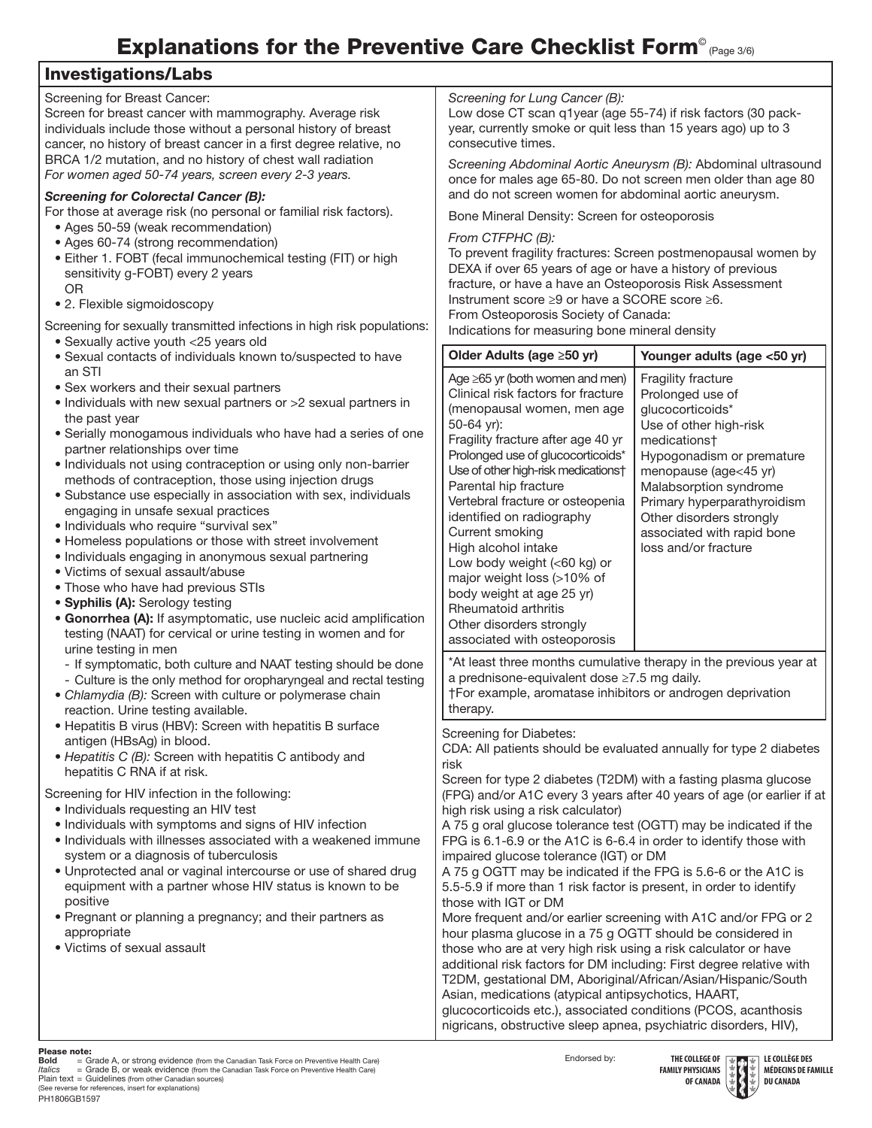# Explanations for the Preventive Care Checklist Form<sup>®</sup> (Page 3/6)

#### Investigations/Labs

| Screening for Breast Cancer:<br>Screen for breast cancer with mammography. Average risk<br>individuals include those without a personal history of breast<br>cancer, no history of breast cancer in a first degree relative, no<br>BRCA 1/2 mutation, and no history of chest wall radiation<br>For women aged 50-74 years, screen every 2-3 years.                                                                                                                                                                                                                                                                                                                                                                                                                                                                                                                                                                                                                                                                                                                                                                                                                                                                                                              | Screening for Lung Cancer (B):<br>Low dose CT scan q1year (age 55-74) if risk factors (30 pack-<br>year, currently smoke or quit less than 15 years ago) up to 3<br>consecutive times.<br>Screening Abdominal Aortic Aneurysm (B): Abdominal ultrasound                                                                                                                                                                                                                                                                                                                                                                                                                                                                                                                                                                                                                                                                                                                                                                                                                                 |                                                                                                                                                                                                                                                                                                       |
|------------------------------------------------------------------------------------------------------------------------------------------------------------------------------------------------------------------------------------------------------------------------------------------------------------------------------------------------------------------------------------------------------------------------------------------------------------------------------------------------------------------------------------------------------------------------------------------------------------------------------------------------------------------------------------------------------------------------------------------------------------------------------------------------------------------------------------------------------------------------------------------------------------------------------------------------------------------------------------------------------------------------------------------------------------------------------------------------------------------------------------------------------------------------------------------------------------------------------------------------------------------|-----------------------------------------------------------------------------------------------------------------------------------------------------------------------------------------------------------------------------------------------------------------------------------------------------------------------------------------------------------------------------------------------------------------------------------------------------------------------------------------------------------------------------------------------------------------------------------------------------------------------------------------------------------------------------------------------------------------------------------------------------------------------------------------------------------------------------------------------------------------------------------------------------------------------------------------------------------------------------------------------------------------------------------------------------------------------------------------|-------------------------------------------------------------------------------------------------------------------------------------------------------------------------------------------------------------------------------------------------------------------------------------------------------|
| <b>Screening for Colorectal Cancer (B):</b>                                                                                                                                                                                                                                                                                                                                                                                                                                                                                                                                                                                                                                                                                                                                                                                                                                                                                                                                                                                                                                                                                                                                                                                                                      | once for males age 65-80. Do not screen men older than age 80<br>and do not screen women for abdominal aortic aneurysm.                                                                                                                                                                                                                                                                                                                                                                                                                                                                                                                                                                                                                                                                                                                                                                                                                                                                                                                                                                 |                                                                                                                                                                                                                                                                                                       |
| For those at average risk (no personal or familial risk factors).<br>• Ages 50-59 (weak recommendation)                                                                                                                                                                                                                                                                                                                                                                                                                                                                                                                                                                                                                                                                                                                                                                                                                                                                                                                                                                                                                                                                                                                                                          | Bone Mineral Density: Screen for osteoporosis                                                                                                                                                                                                                                                                                                                                                                                                                                                                                                                                                                                                                                                                                                                                                                                                                                                                                                                                                                                                                                           |                                                                                                                                                                                                                                                                                                       |
| • Ages 60-74 (strong recommendation)<br>· Either 1. FOBT (fecal immunochemical testing (FIT) or high<br>sensitivity g-FOBT) every 2 years<br><b>OR</b><br>• 2. Flexible sigmoidoscopy<br>Screening for sexually transmitted infections in high risk populations:                                                                                                                                                                                                                                                                                                                                                                                                                                                                                                                                                                                                                                                                                                                                                                                                                                                                                                                                                                                                 | From CTFPHC (B):<br>To prevent fragility fractures: Screen postmenopausal women by<br>DEXA if over 65 years of age or have a history of previous<br>fracture, or have a have an Osteoporosis Risk Assessment<br>Instrument score ≥9 or have a SCORE score ≥6.<br>From Osteoporosis Society of Canada:<br>Indications for measuring bone mineral density                                                                                                                                                                                                                                                                                                                                                                                                                                                                                                                                                                                                                                                                                                                                 |                                                                                                                                                                                                                                                                                                       |
| · Sexually active youth <25 years old<br>• Sexual contacts of individuals known to/suspected to have                                                                                                                                                                                                                                                                                                                                                                                                                                                                                                                                                                                                                                                                                                                                                                                                                                                                                                                                                                                                                                                                                                                                                             | Older Adults (age ≥50 yr)                                                                                                                                                                                                                                                                                                                                                                                                                                                                                                                                                                                                                                                                                                                                                                                                                                                                                                                                                                                                                                                               | Younger adults (age <50 yr)                                                                                                                                                                                                                                                                           |
| an STI<br>• Sex workers and their sexual partners<br>• Individuals with new sexual partners or >2 sexual partners in<br>the past year<br>• Serially monogamous individuals who have had a series of one<br>partner relationships over time<br>· Individuals not using contraception or using only non-barrier<br>methods of contraception, those using injection drugs<br>• Substance use especially in association with sex, individuals<br>engaging in unsafe sexual practices<br>• Individuals who require "survival sex"<br>• Homeless populations or those with street involvement<br>· Individuals engaging in anonymous sexual partnering<br>• Victims of sexual assault/abuse<br>. Those who have had previous STIs<br>• Syphilis (A): Serology testing<br>• Gonorrhea (A): If asymptomatic, use nucleic acid amplification<br>testing (NAAT) for cervical or urine testing in women and for<br>urine testing in men<br>- If symptomatic, both culture and NAAT testing should be done<br>- Culture is the only method for oropharyngeal and rectal testing<br>• Chlamydia (B): Screen with culture or polymerase chain<br>reaction. Urine testing available.<br>• Hepatitis B virus (HBV): Screen with hepatitis B surface<br>antigen (HBsAg) in blood. | Age ≥65 yr (both women and men)<br>Clinical risk factors for fracture<br>(menopausal women, men age<br>50-64 yr):<br>Fragility fracture after age 40 yr<br>Prolonged use of glucocorticoids*<br>Use of other high-risk medications†<br>Parental hip fracture<br>Vertebral fracture or osteopenia<br>identified on radiography<br>Current smoking<br>High alcohol intake<br>Low body weight (<60 kg) or<br>major weight loss (>10% of<br>body weight at age 25 yr)<br>Rheumatoid arthritis<br>Other disorders strongly<br>associated with osteoporosis                                                                                                                                                                                                                                                                                                                                                                                                                                                                                                                                   | Fragility fracture<br>Prolonged use of<br>glucocorticoids*<br>Use of other high-risk<br>medications†<br>Hypogonadism or premature<br>menopause (age<45 yr)<br>Malabsorption syndrome<br>Primary hyperparathyroidism<br>Other disorders strongly<br>associated with rapid bone<br>loss and/or fracture |
|                                                                                                                                                                                                                                                                                                                                                                                                                                                                                                                                                                                                                                                                                                                                                                                                                                                                                                                                                                                                                                                                                                                                                                                                                                                                  | *At least three months cumulative therapy in the previous year at<br>a prednisone-equivalent dose ≥7.5 mg daily.<br>†For example, aromatase inhibitors or androgen deprivation<br>therapy.<br>Screening for Diabetes:<br>CDA: All patients should be evaluated annually for type 2 diabetes                                                                                                                                                                                                                                                                                                                                                                                                                                                                                                                                                                                                                                                                                                                                                                                             |                                                                                                                                                                                                                                                                                                       |
| • Hepatitis C (B): Screen with hepatitis C antibody and<br>hepatitis C RNA if at risk.<br>Screening for HIV infection in the following:<br>• Individuals requesting an HIV test<br>• Individuals with symptoms and signs of HIV infection<br>· Individuals with illnesses associated with a weakened immune<br>system or a diagnosis of tuberculosis<br>. Unprotected anal or vaginal intercourse or use of shared drug<br>equipment with a partner whose HIV status is known to be<br>positive<br>• Pregnant or planning a pregnancy; and their partners as<br>appropriate<br>· Victims of sexual assault                                                                                                                                                                                                                                                                                                                                                                                                                                                                                                                                                                                                                                                       | risk<br>Screen for type 2 diabetes (T2DM) with a fasting plasma glucose<br>(FPG) and/or A1C every 3 years after 40 years of age (or earlier if at<br>high risk using a risk calculator)<br>A 75 g oral glucose tolerance test (OGTT) may be indicated if the<br>FPG is 6.1-6.9 or the A1C is 6-6.4 in order to identify those with<br>impaired glucose tolerance (IGT) or DM<br>A 75 g OGTT may be indicated if the FPG is 5.6-6 or the A1C is<br>5.5-5.9 if more than 1 risk factor is present, in order to identify<br>those with IGT or DM<br>More frequent and/or earlier screening with A1C and/or FPG or 2<br>hour plasma glucose in a 75 g OGTT should be considered in<br>those who are at very high risk using a risk calculator or have<br>additional risk factors for DM including: First degree relative with<br>T2DM, gestational DM, Aboriginal/African/Asian/Hispanic/South<br>Asian, medications (atypical antipsychotics, HAART,<br>glucocorticoids etc.), associated conditions (PCOS, acanthosis<br>nigricans, obstructive sleep apnea, psychiatric disorders, HIV), |                                                                                                                                                                                                                                                                                                       |

Please note:



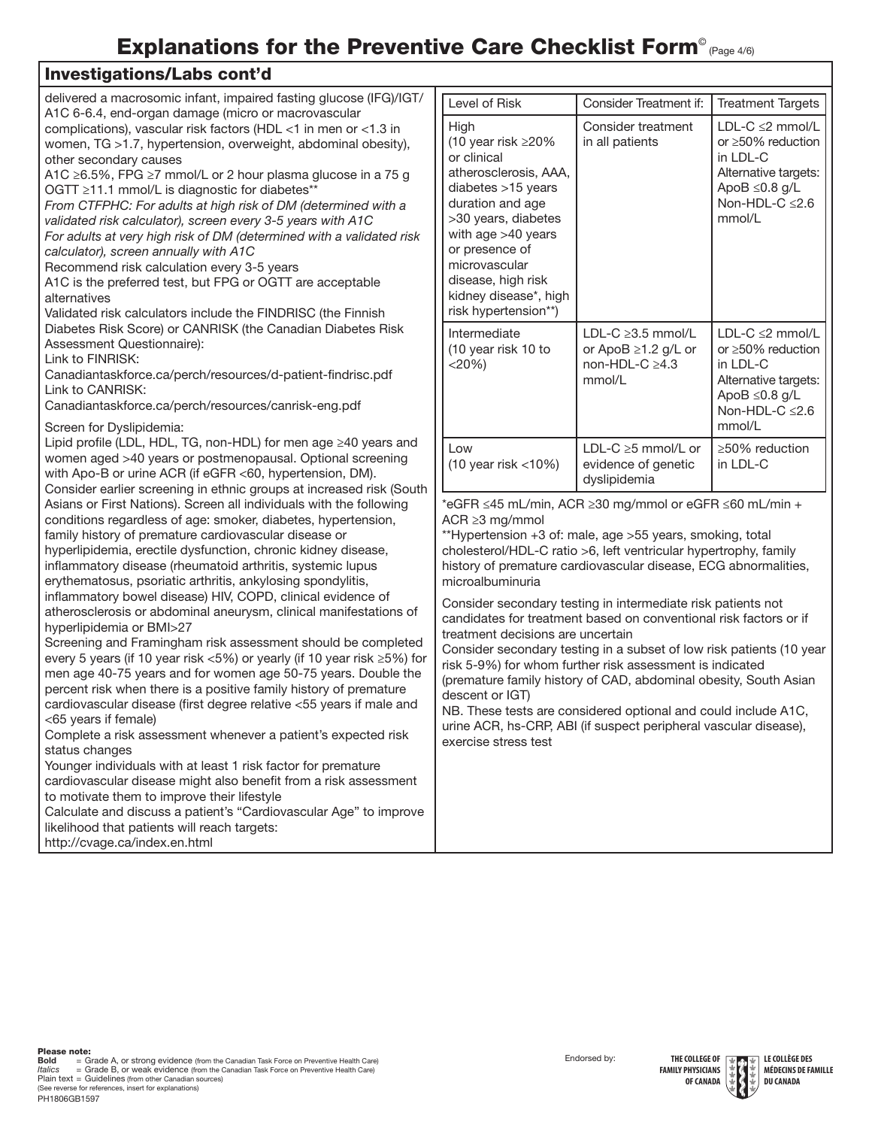# Explanations for the Preventive Care Checklist Form<sup>®</sup> (Page 4/6)

#### Investigations/Labs cont'd

| delivered a macrosomic infant, impaired fasting glucose (IFG)/IGT/<br>A1C 6-6.4, end-organ damage (micro or macrovascular                                                                                                                                                                                                                                                                                                                                                                                                                                                                                                                                                                                                                                                                                                                                                                                                                                                                                                                                                                                                                                                                                                                                                                                                                                                                                                                                                                                                                                                                                                                                                    | Level of I                                                                                                                                                                                                                                          |
|------------------------------------------------------------------------------------------------------------------------------------------------------------------------------------------------------------------------------------------------------------------------------------------------------------------------------------------------------------------------------------------------------------------------------------------------------------------------------------------------------------------------------------------------------------------------------------------------------------------------------------------------------------------------------------------------------------------------------------------------------------------------------------------------------------------------------------------------------------------------------------------------------------------------------------------------------------------------------------------------------------------------------------------------------------------------------------------------------------------------------------------------------------------------------------------------------------------------------------------------------------------------------------------------------------------------------------------------------------------------------------------------------------------------------------------------------------------------------------------------------------------------------------------------------------------------------------------------------------------------------------------------------------------------------|-----------------------------------------------------------------------------------------------------------------------------------------------------------------------------------------------------------------------------------------------------|
| complications), vascular risk factors (HDL <1 in men or <1.3 in<br>women, TG >1.7, hypertension, overweight, abdominal obesity),<br>other secondary causes<br>A1C ≥6.5%, FPG ≥7 mmol/L or 2 hour plasma glucose in a 75 g<br>OGTT ≥11.1 mmol/L is diagnostic for diabetes**<br>From CTFPHC: For adults at high risk of DM (determined with a<br>validated risk calculator), screen every 3-5 years with A1C<br>For adults at very high risk of DM (determined with a validated risk<br>calculator), screen annually with A1C<br>Recommend risk calculation every 3-5 years<br>A1C is the preferred test, but FPG or OGTT are acceptable<br>alternatives<br>Validated risk calculators include the FINDRISC (the Finnish<br>Diabetes Risk Score) or CANRISK (the Canadian Diabetes Risk<br>Assessment Questionnaire):<br>Link to FINRISK:<br>Canadiantaskforce.ca/perch/resources/d-patient-findrisc.pdf<br>Link to CANRISK:<br>Canadiantaskforce.ca/perch/resources/canrisk-eng.pdf                                                                                                                                                                                                                                                                                                                                                                                                                                                                                                                                                                                                                                                                                          | High<br>$(10 \text{ year})$<br>or clinica<br>atheroscl<br>diabetes<br>duration<br>>30 year<br>with age<br>or preser<br>microvas<br>disease,<br>kidney di<br>risk hype<br>Intermed<br>$(10 \text{ year})$<br>$<$ 20%)                                |
| Screen for Dyslipidemia:<br>Lipid profile (LDL, HDL, TG, non-HDL) for men age ≥40 years and<br>women aged >40 years or postmenopausal. Optional screening<br>with Apo-B or urine ACR (if eGFR <60, hypertension, DM).<br>Consider earlier screening in ethnic groups at increased risk (South<br>Asians or First Nations). Screen all individuals with the following<br>conditions regardless of age: smoker, diabetes, hypertension,<br>family history of premature cardiovascular disease or<br>hyperlipidemia, erectile dysfunction, chronic kidney disease,<br>inflammatory disease (rheumatoid arthritis, systemic lupus<br>erythematosus, psoriatic arthritis, ankylosing spondylitis,<br>inflammatory bowel disease) HIV, COPD, clinical evidence of<br>atherosclerosis or abdominal aneurysm, clinical manifestations of<br>hyperlipidemia or BMI>27<br>Screening and Framingham risk assessment should be completed<br>every 5 years (if 10 year risk <5%) or yearly (if 10 year risk ≥5%) for<br>men age 40-75 years and for women age 50-75 years. Double the<br>percent risk when there is a positive family history of premature<br>cardiovascular disease (first degree relative <55 years if male and<br>$<$ 65 years if female)<br>Complete a risk assessment whenever a patient's expected risk<br>status changes<br>Younger individuals with at least 1 risk factor for premature<br>cardiovascular disease might also benefit from a risk assessment<br>to motivate them to improve their lifestyle<br>Calculate and discuss a patient's "Cardiovascular Age" to improve<br>likelihood that patients will reach targets:<br>http://cvage.ca/index.en.html | Low<br>(10 year i<br>*eGFR $\leq 4$<br>ACR $\geq$ 3 m<br>**Hyperter<br>cholesterc<br>history of<br>microalbu<br>Consider s<br>candidate<br>treatment<br>Consider :<br>risk 5-9%)<br>(premature<br>descent o<br>NB. These<br>urine ACR<br>exercise s |

| Level of Risk                                                                                                                                                                                                                                                                 | Consider Treatment if:                                                           | <b>Treatment Targets</b>                                                                                                                               |
|-------------------------------------------------------------------------------------------------------------------------------------------------------------------------------------------------------------------------------------------------------------------------------|----------------------------------------------------------------------------------|--------------------------------------------------------------------------------------------------------------------------------------------------------|
| High<br>(10 year risk $\geq$ 20%<br>or clinical<br>atherosclerosis. AAA.<br>diabetes $>15$ years<br>duration and age<br>>30 years, diabetes<br>with age $>40$ years<br>or presence of<br>microvascular<br>disease, high risk<br>kidney disease*, high<br>risk hypertension**) | Consider treatment<br>in all patients                                            | $LDL-C \leq 2$ mmol/L<br>or $\geq 50\%$ reduction<br>$in$ $IDI$ - $C$<br>Alternative targets:<br>ApoB $\leq$ 0.8 g/L<br>Non-HDL-C $\leq$ 2.6<br>mmol/L |
| Intermediate<br>(10 year risk 10 to<br>$<$ 20%)                                                                                                                                                                                                                               | LDL-C $\geq$ 3.5 mmol/L<br>or ApoB ≥1.2 g/L or<br>non-HDL-C $\geq$ 4.3<br>mmol/L | $LDL-C \leq 2$ mmol/L<br>or $\geq 50\%$ reduction<br>in LDL-C<br>Alternative targets:<br>ApoB $\leq$ 0.8 g/L<br>Non-HDL-C $\leq$ 2.6<br>mmol/l         |
| l ow<br>(10 year risk <10%)                                                                                                                                                                                                                                                   | LDL-C $\geq$ 5 mmol/L or<br>evidence of genetic<br>dyslipidemia                  | $\geq$ 50% reduction<br>in LDL-C                                                                                                                       |

5 mL/min, ACR ≥30 mg/mmol or eGFR ≤60 mL/min + g/mmol

nsion +3 of: male, age >55 years, smoking, total ol/HDL-C ratio >6, left ventricular hypertrophy, family premature cardiovascular disease, ECG abnormalities, minuria

secondary testing in intermediate risk patients not s for treatment based on conventional risk factors or if decisions are uncertain

secondary testing in a subset of low risk patients (10 year for whom further risk assessment is indicated e family history of CAD, abdominal obesity, South Asian r IGT)

tests are considered optional and could include A1C, l, hs-CRP, ABI (if suspect peripheral vascular disease), tress test

**Bold**<br>*Italics* PH1806GB1597 **Bold** = Grade A, or strong evidence (from the Canadian Task Force on Preventive Health Care)<br>*Italics* = Grade B, or weak evidence (from the Canadian Task Force on Preventive Health Care) Plain text = Guidelines (from other Canadian sources) (See reverse for references, insert for explanations)

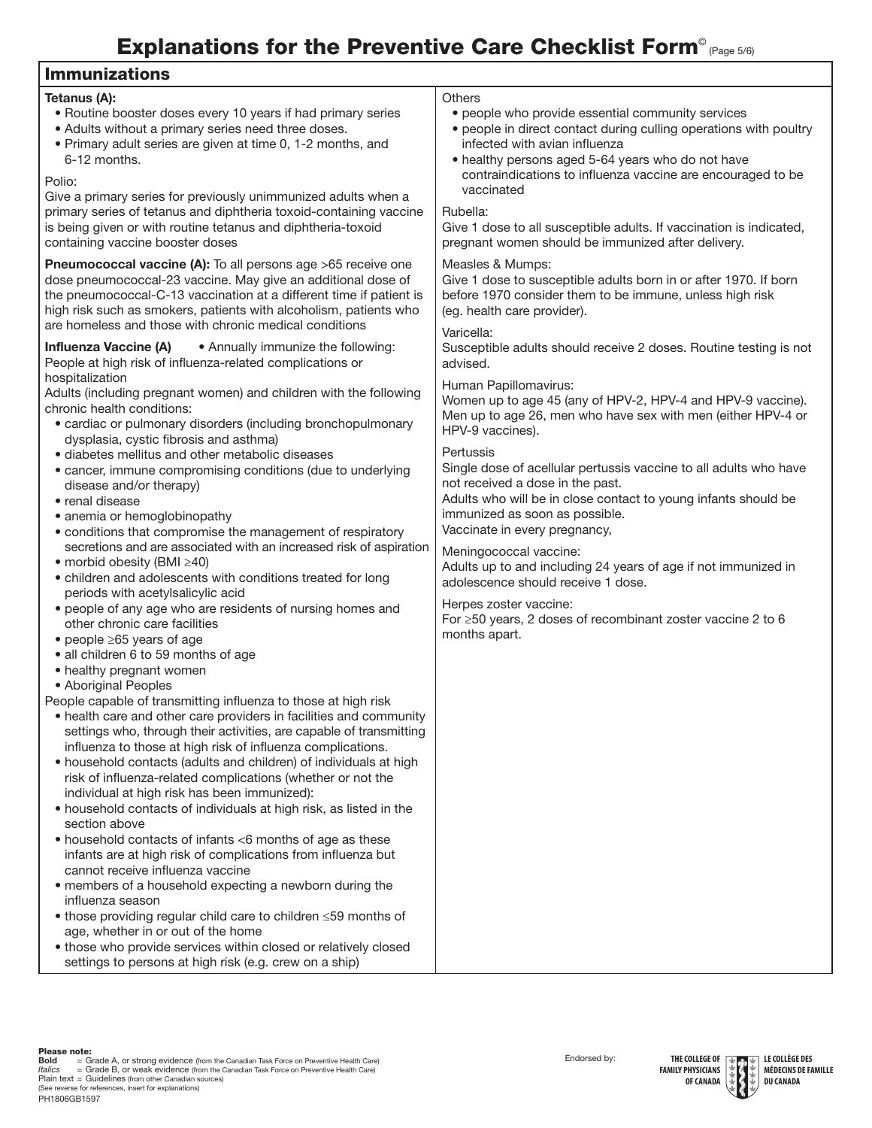# Explanations for the Preventive Care Checklist Form<sup>®</sup> (Page 5/6)

| <b>Immunizations</b>                                                                                                                                                                                                                                                                                                                                                                                                                                                                                                                                                                                                                                                                                                                                                                                                                                                                                                                                                                                                                                                                                                                                                                                                                                                                                                                                                                                                                                                                                                                                                                                                                                                                                                                                                                                   |                                                                                                                                                                                                                                                                                                                                                                                                                                                                                                                                                                                                                                                                                                                                                                                      |
|--------------------------------------------------------------------------------------------------------------------------------------------------------------------------------------------------------------------------------------------------------------------------------------------------------------------------------------------------------------------------------------------------------------------------------------------------------------------------------------------------------------------------------------------------------------------------------------------------------------------------------------------------------------------------------------------------------------------------------------------------------------------------------------------------------------------------------------------------------------------------------------------------------------------------------------------------------------------------------------------------------------------------------------------------------------------------------------------------------------------------------------------------------------------------------------------------------------------------------------------------------------------------------------------------------------------------------------------------------------------------------------------------------------------------------------------------------------------------------------------------------------------------------------------------------------------------------------------------------------------------------------------------------------------------------------------------------------------------------------------------------------------------------------------------------|--------------------------------------------------------------------------------------------------------------------------------------------------------------------------------------------------------------------------------------------------------------------------------------------------------------------------------------------------------------------------------------------------------------------------------------------------------------------------------------------------------------------------------------------------------------------------------------------------------------------------------------------------------------------------------------------------------------------------------------------------------------------------------------|
| Tetanus (A):<br>• Routine booster doses every 10 years if had primary series<br>• Adults without a primary series need three doses.<br>. Primary adult series are given at time 0, 1-2 months, and<br>6-12 months.<br>Polio:                                                                                                                                                                                                                                                                                                                                                                                                                                                                                                                                                                                                                                                                                                                                                                                                                                                                                                                                                                                                                                                                                                                                                                                                                                                                                                                                                                                                                                                                                                                                                                           | <b>Others</b><br>• people who provide essential community services<br>· people in direct contact during culling operations with poultry<br>infected with avian influenza<br>• healthy persons aged 5-64 years who do not have<br>contraindications to influenza vaccine are encouraged to be                                                                                                                                                                                                                                                                                                                                                                                                                                                                                         |
| Give a primary series for previously unimmunized adults when a<br>primary series of tetanus and diphtheria toxoid-containing vaccine<br>is being given or with routine tetanus and diphtheria-toxoid<br>containing vaccine booster doses                                                                                                                                                                                                                                                                                                                                                                                                                                                                                                                                                                                                                                                                                                                                                                                                                                                                                                                                                                                                                                                                                                                                                                                                                                                                                                                                                                                                                                                                                                                                                               | vaccinated<br>Rubella:<br>Give 1 dose to all susceptible adults. If vaccination is indicated,<br>pregnant women should be immunized after delivery.                                                                                                                                                                                                                                                                                                                                                                                                                                                                                                                                                                                                                                  |
| <b>Pneumococcal vaccine (A):</b> To all persons age >65 receive one<br>dose pneumococcal-23 vaccine. May give an additional dose of<br>the pneumococcal-C-13 vaccination at a different time if patient is<br>high risk such as smokers, patients with alcoholism, patients who<br>are homeless and those with chronic medical conditions                                                                                                                                                                                                                                                                                                                                                                                                                                                                                                                                                                                                                                                                                                                                                                                                                                                                                                                                                                                                                                                                                                                                                                                                                                                                                                                                                                                                                                                              | Measles & Mumps:<br>Give 1 dose to susceptible adults born in or after 1970. If born<br>before 1970 consider them to be immune, unless high risk<br>(eg. health care provider).                                                                                                                                                                                                                                                                                                                                                                                                                                                                                                                                                                                                      |
| • Annually immunize the following:<br><b>Influenza Vaccine (A)</b><br>People at high risk of influenza-related complications or<br>hospitalization<br>Adults (including pregnant women) and children with the following<br>chronic health conditions:<br>• cardiac or pulmonary disorders (including bronchopulmonary<br>dysplasia, cystic fibrosis and asthma)<br>· diabetes mellitus and other metabolic diseases<br>• cancer, immune compromising conditions (due to underlying<br>disease and/or therapy)<br>• renal disease<br>• anemia or hemoglobinopathy<br>• conditions that compromise the management of respiratory<br>secretions and are associated with an increased risk of aspiration<br>• morbid obesity (BMI ≥40)<br>• children and adolescents with conditions treated for long<br>periods with acetylsalicylic acid<br>• people of any age who are residents of nursing homes and<br>other chronic care facilities<br>$\bullet$ people $\geq$ 65 years of age<br>• all children 6 to 59 months of age<br>• healthy pregnant women<br>• Aboriginal Peoples<br>People capable of transmitting influenza to those at high risk<br>• health care and other care providers in facilities and community<br>settings who, through their activities, are capable of transmitting<br>influenza to those at high risk of influenza complications.<br>• household contacts (adults and children) of individuals at high<br>risk of influenza-related complications (whether or not the<br>individual at high risk has been immunized):<br>• household contacts of individuals at high risk, as listed in the<br>section above<br>• household contacts of infants <6 months of age as these<br>infants are at high risk of complications from influenza but<br>cannot receive influenza vaccine | Varicella:<br>Susceptible adults should receive 2 doses. Routine testing is not<br>advised.<br>Human Papillomavirus:<br>Women up to age 45 (any of HPV-2, HPV-4 and HPV-9 vaccine).<br>Men up to age 26, men who have sex with men (either HPV-4 or<br>HPV-9 vaccines).<br>Pertussis<br>Single dose of acellular pertussis vaccine to all adults who have<br>not received a dose in the past.<br>Adults who will be in close contact to young infants should be<br>immunized as soon as possible.<br>Vaccinate in every pregnancy,<br>Meningococcal vaccine:<br>Adults up to and including 24 years of age if not immunized in<br>adolescence should receive 1 dose.<br>Herpes zoster vaccine:<br>For $\geq$ 50 years, 2 doses of recombinant zoster vaccine 2 to 6<br>months apart. |
| • members of a household expecting a newborn during the<br>influenza season<br>• those providing regular child care to children ≤59 months of<br>age, whether in or out of the home<br>• those who provide services within closed or relatively closed<br>settings to persons at high risk (e.g. crew on a ship)                                                                                                                                                                                                                                                                                                                                                                                                                                                                                                                                                                                                                                                                                                                                                                                                                                                                                                                                                                                                                                                                                                                                                                                                                                                                                                                                                                                                                                                                                       |                                                                                                                                                                                                                                                                                                                                                                                                                                                                                                                                                                                                                                                                                                                                                                                      |

**Please note:**<br>**Bold = Gr**ade A, or strong evidence (from the Canadian Task Force on Preventive Health Care)<br>*Italics* = Grade B, or weak evidence (from the Canadian Task Force on Preventive Health Care)<br>Plain text = Guide PH1806GB1597